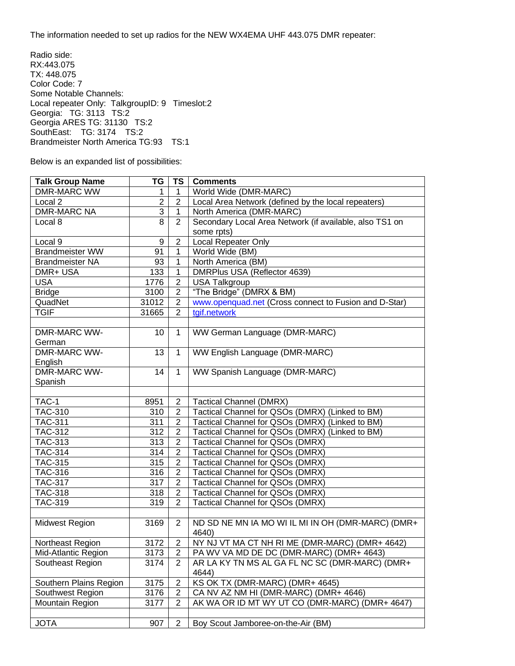The information needed to set up radios for the NEW WX4EMA UHF 443.075 DMR repeater:

Radio side: RX:443.075 TX: 448.075 Color Code: 7 Some Notable Channels: Local repeater Only: TalkgroupID: 9 Timeslot:2 Georgia: TG: 3113 TS:2 Georgia ARES TG: 31130 TS:2 SouthEast: TG: 3174 TS:2 Brandmeister North America TG:93 TS:1

Below is an expanded list of possibilities:

| <b>Talk Group Name</b> | TG             | <b>TS</b>      | <b>Comments</b>                                         |
|------------------------|----------------|----------------|---------------------------------------------------------|
| <b>DMR-MARC WW</b>     | 1              | 1              | World Wide (DMR-MARC)                                   |
| Local <sub>2</sub>     | $\overline{2}$ | $\overline{2}$ | Local Area Network (defined by the local repeaters)     |
| <b>DMR-MARC NA</b>     | $\overline{3}$ | $\mathbf{1}$   | North America (DMR-MARC)                                |
| Local 8                | $\overline{8}$ | $\overline{2}$ | Secondary Local Area Network (if available, also TS1 on |
|                        |                |                | some rpts)                                              |
| Local 9                | 9              | $\overline{2}$ | <b>Local Repeater Only</b>                              |
| <b>Brandmeister WW</b> | 91             | 1              | World Wide (BM)                                         |
| <b>Brandmeister NA</b> | 93             | 1              | North America (BM)                                      |
| DMR+ USA               | 133            | 1              | DMRPlus USA (Reflector 4639)                            |
| <b>USA</b>             | 1776           | $\mathbf{2}$   | <b>USA Talkgroup</b>                                    |
| <b>Bridge</b>          | 3100           | $\overline{2}$ | "The Bridge" (DMRX & BM)                                |
| QuadNet                | 31012          | $\overline{2}$ | www.openquad.net (Cross connect to Fusion and D-Star)   |
| <b>TGIF</b>            | 31665          | 2              | tgif.network                                            |
|                        |                |                |                                                         |
| DMR-MARC WW-           | 10             | $\mathbf{1}$   | WW German Language (DMR-MARC)                           |
| German                 |                |                |                                                         |
| DMR-MARC WW-           | 13             | $\mathbf{1}$   | WW English Language (DMR-MARC)                          |
| English                |                |                |                                                         |
| <b>DMR-MARC WW-</b>    | 14             | $\mathbf{1}$   | WW Spanish Language (DMR-MARC)                          |
| Spanish                |                |                |                                                         |
|                        |                |                |                                                         |
| TAC-1                  | 8951           | $\overline{2}$ | <b>Tactical Channel (DMRX)</b>                          |
| <b>TAC-310</b>         | 310            | $\overline{2}$ | Tactical Channel for QSOs (DMRX) (Linked to BM)         |
| <b>TAC-311</b>         | 311            | $\overline{2}$ | Tactical Channel for QSOs (DMRX) (Linked to BM)         |
| <b>TAC-312</b>         | 312            | $\overline{2}$ | Tactical Channel for QSOs (DMRX) (Linked to BM)         |
| <b>TAC-313</b>         | 313            | $\overline{2}$ | Tactical Channel for QSOs (DMRX)                        |
| <b>TAC-314</b>         | 314            | $\overline{2}$ | Tactical Channel for QSOs (DMRX)                        |
| <b>TAC-315</b>         | 315            | $\overline{2}$ | Tactical Channel for QSOs (DMRX)                        |
| <b>TAC-316</b>         | 316            | $\overline{2}$ | Tactical Channel for QSOs (DMRX)                        |
| <b>TAC-317</b>         | 317            | $\overline{2}$ | <b>Tactical Channel for QSOs (DMRX)</b>                 |
| <b>TAC-318</b>         | 318            | $\overline{2}$ | Tactical Channel for QSOs (DMRX)                        |
| TAC-319                | 319            | 2              | Tactical Channel for QSOs (DMRX)                        |
|                        |                |                |                                                         |
| Midwest Region         | 3169           | $\overline{2}$ | ND SD NE MN IA MO WI IL MI IN OH (DMR-MARC) (DMR+       |
|                        |                |                | 4640)                                                   |
| Northeast Region       | 3172           | $\overline{2}$ | NY NJ VT MA CT NH RI ME (DMR-MARC) (DMR+ 4642)          |
| Mid-Atlantic Region    | 3173           | $\overline{2}$ | PA WV VA MD DE DC (DMR-MARC) (DMR+ 4643)                |
| Southeast Region       | 3174           | $\overline{2}$ | AR LA KY TN MS AL GA FL NC SC (DMR-MARC) (DMR+          |
|                        |                |                | 4644)                                                   |
| Southern Plains Region | 3175           | $\overline{2}$ | KS OK TX (DMR-MARC) (DMR+ 4645)                         |
| Southwest Region       | 3176           | $\overline{2}$ | CA NV AZ NM HI (DMR-MARC) (DMR+ 4646)                   |
| Mountain Region        | 3177           | $\overline{2}$ | AK WA OR ID MT WY UT CO (DMR-MARC) (DMR+ 4647)          |
|                        |                |                |                                                         |
| <b>JOTA</b>            | 907            | $\overline{2}$ | Boy Scout Jamboree-on-the-Air (BM)                      |